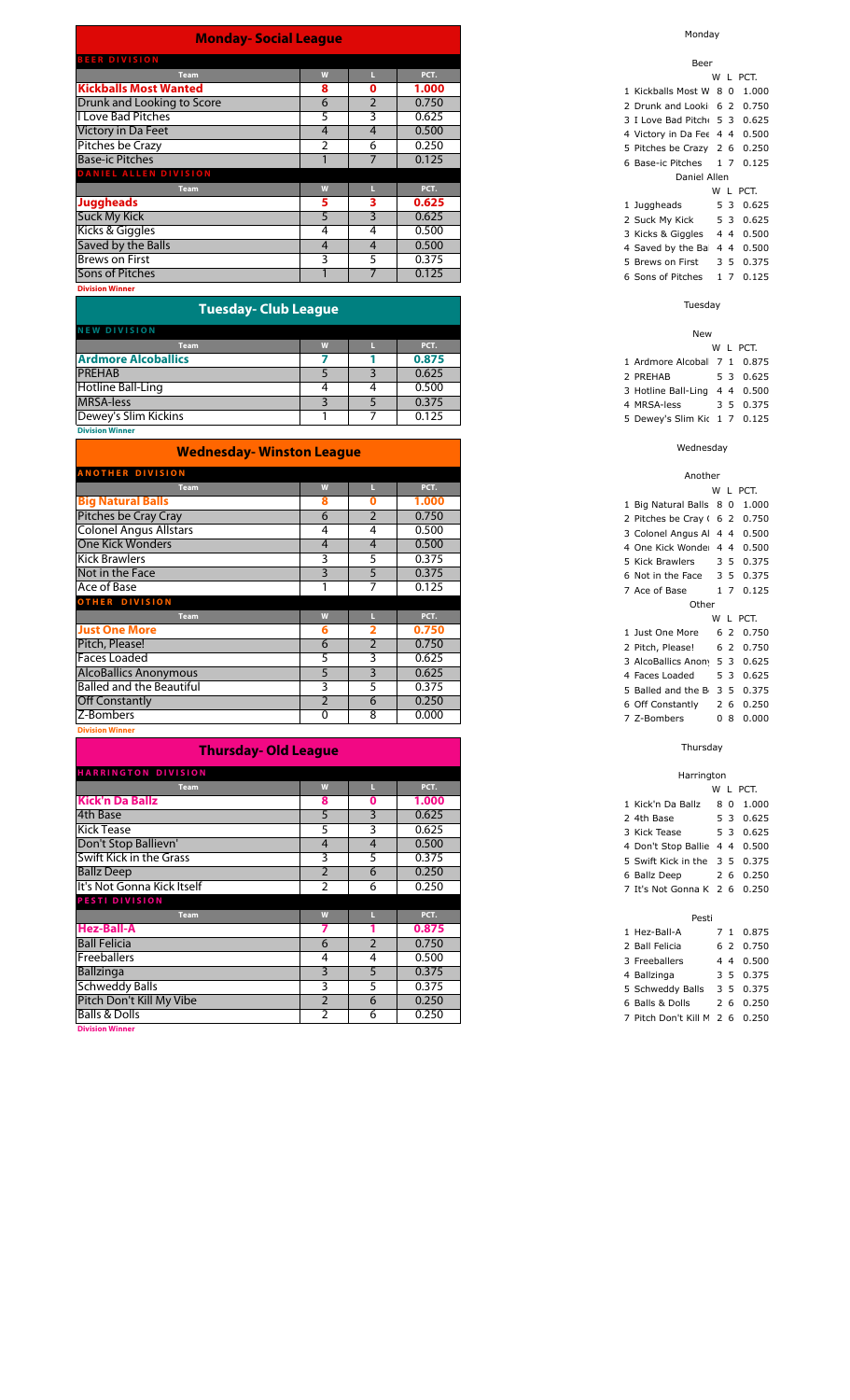|  |  | <b>Monday- Social League</b> |  |
|--|--|------------------------------|--|
|  |  |                              |  |

| <b>BEER DIVISION</b>         |   |   |       |
|------------------------------|---|---|-------|
| <b>Team</b>                  | W |   | PCT.  |
| <b>Kickballs Most Wanted</b> | 8 | 0 | 1.000 |
| Drunk and Looking to Score   | 6 |   | 0.750 |
| <b>I Love Bad Pitches</b>    | 5 | 3 | 0.625 |
| Victory in Da Feet           | 4 | 4 | 0.500 |
| Pitches be Crazy             |   | 6 | 0.250 |
| <b>Base-ic Pitches</b>       |   |   | 0.125 |
| DANIEL ALLEN DIVISION        |   |   |       |
| <b>Team</b>                  | W |   | PCT.  |
| <b>Juggheads</b>             | 5 | 3 | 0.625 |
| <b>Suck My Kick</b>          | 5 | 3 | 0.625 |
| Kicks & Giggles              | 4 | 4 | 0.500 |
| Saved by the Balls           | 4 | 4 | 0.500 |
| <b>Brews on First</b>        | 3 | 5 | 0.375 |
| <b>Sons of Pitches</b>       |   |   | 0.125 |
| <b>Division Winner</b>       |   |   |       |

| <b>Tuesday-Club League</b> |      |   |       |  |  |  |  |  |
|----------------------------|------|---|-------|--|--|--|--|--|
| <b>NEW DIVISION</b>        |      |   |       |  |  |  |  |  |
| Team                       | 1.11 |   | PCT.  |  |  |  |  |  |
| <b>Ardmore Alcoballics</b> |      |   | 0.875 |  |  |  |  |  |
| <b>PREHAB</b>              |      |   | 0.625 |  |  |  |  |  |
| Hotline Ball-Ling          | 4    | 4 | 0.500 |  |  |  |  |  |
| <b>MRSA-less</b>           |      |   | 0.375 |  |  |  |  |  |

| <b>Wednesday- Winston League</b> |                |    |       |  |  |  |  |
|----------------------------------|----------------|----|-------|--|--|--|--|
| <b>ANOTHER DIVISION</b>          |                |    |       |  |  |  |  |
| <b>Team</b>                      | W              |    | PCT.  |  |  |  |  |
| <b>Big Natural Balls</b>         | 8              | 0  | 1.000 |  |  |  |  |
| Pitches be Cray Cray             | 6              | 2  | 0.750 |  |  |  |  |
| <b>Colonel Angus Allstars</b>    | 4              | 4  | 0.500 |  |  |  |  |
| <b>One Kick Wonders</b>          | 4              | 4  | 0.500 |  |  |  |  |
| <b>Kick Brawlers</b>             | 3              | 5  | 0.375 |  |  |  |  |
| Not in the Face                  | 3              | 5  | 0.375 |  |  |  |  |
| Ace of Base                      |                |    | 0.125 |  |  |  |  |
| <b>OTHER DIVISION</b>            |                |    |       |  |  |  |  |
| <b>Team</b>                      | W              | L. | PCT.  |  |  |  |  |
| <b>Just One More</b>             | 6              |    | 0.750 |  |  |  |  |
| Pitch, Please!                   | 6              | 2  | 0.750 |  |  |  |  |
| <b>Faces Loaded</b>              | 5              | 3  | 0.625 |  |  |  |  |
| <b>AlcoBallics Anonymous</b>     | 5              | 3  | 0.625 |  |  |  |  |
| <b>Balled and the Beautiful</b>  | 3              | 5  | 0.375 |  |  |  |  |
| <b>Off Constantly</b>            | $\mathfrak{p}$ | 6  | 0.250 |  |  |  |  |
| Z-Bombers                        | $\Omega$       | 8  | 0.000 |  |  |  |  |
|                                  |                |    |       |  |  |  |  |

**Division Winn** 

| <b>Thursday- Old League</b> |                |   |       |  |  |  |  |  |  |
|-----------------------------|----------------|---|-------|--|--|--|--|--|--|
| <b>HARRINGTON DIVISION</b>  |                |   |       |  |  |  |  |  |  |
| <b>Team</b>                 | W              |   | PCT.  |  |  |  |  |  |  |
| <b>Kick'n Da Ballz</b>      | 8              | 0 | 1.000 |  |  |  |  |  |  |
| 4th Base                    | 5              | 3 | 0.625 |  |  |  |  |  |  |
| <b>Kick Tease</b>           | 5              | 3 | 0.625 |  |  |  |  |  |  |
| Don't Stop Ballievn'        | 4              | 4 | 0.500 |  |  |  |  |  |  |
| Swift Kick in the Grass     | 3              | 5 | 0.375 |  |  |  |  |  |  |
| <b>Ballz Deep</b>           |                | 6 | 0.250 |  |  |  |  |  |  |
| It's Not Gonna Kick Itself  |                | 6 | 0.250 |  |  |  |  |  |  |
| <b>PESTI DIVISION</b>       |                |   |       |  |  |  |  |  |  |
| <b>Team</b>                 | W              |   | PCT.  |  |  |  |  |  |  |
| <b>Hez-Ball-A</b>           |                |   | 0.875 |  |  |  |  |  |  |
| <b>Ball Felicia</b>         | 6              | 2 | 0.750 |  |  |  |  |  |  |
| <b>Freeballers</b>          | 4              | 4 | 0.500 |  |  |  |  |  |  |
| <b>Ballzinga</b>            | 3              | 5 | 0.375 |  |  |  |  |  |  |
| <b>Schweddy Balls</b>       | 3              | 5 | 0.375 |  |  |  |  |  |  |
| Pitch Don't Kill My Vibe    | $\overline{2}$ | 6 | 0.250 |  |  |  |  |  |  |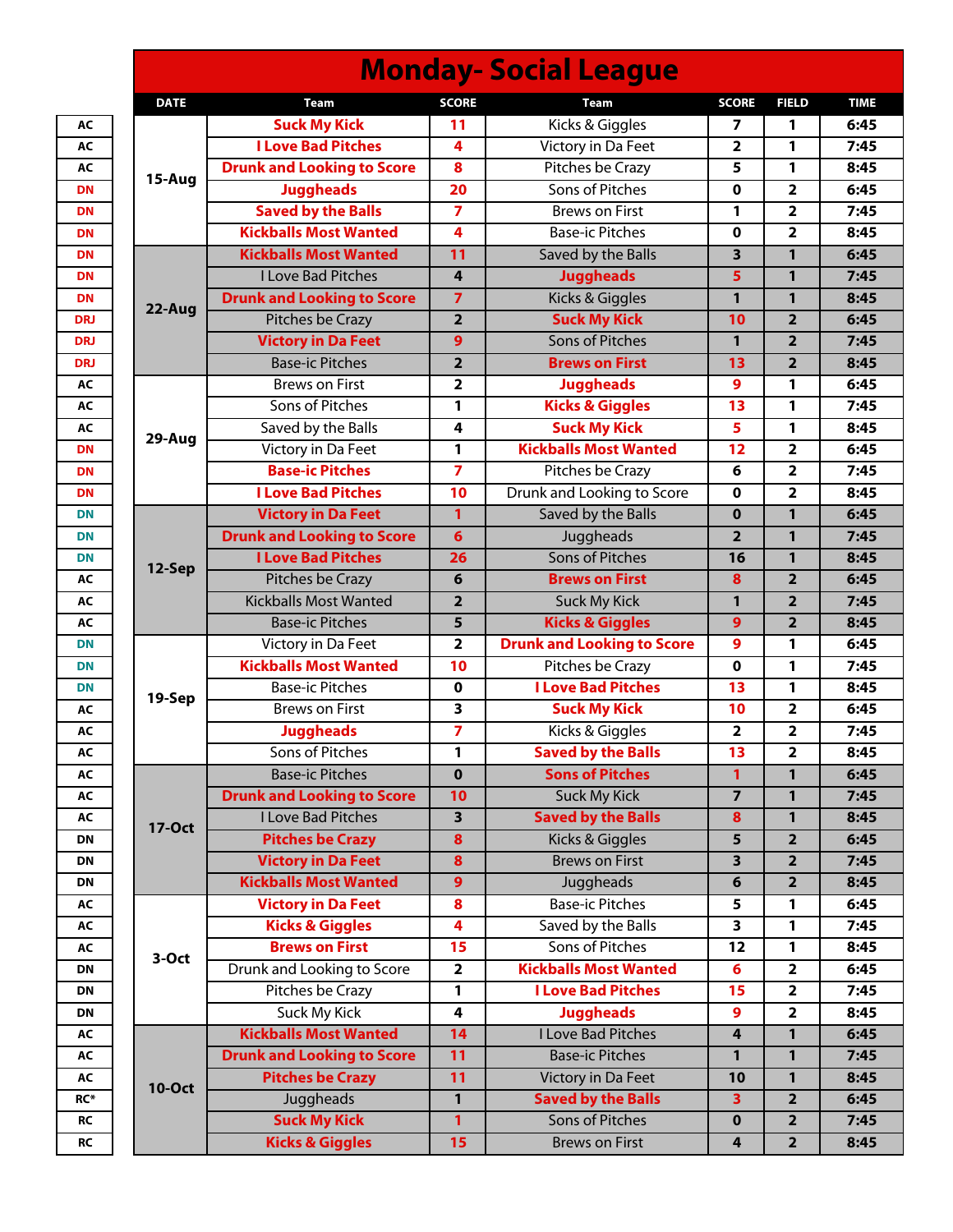| <b>Monday-Social League</b> |                                   |                         |                                   |                         |                         |             |  |  |
|-----------------------------|-----------------------------------|-------------------------|-----------------------------------|-------------------------|-------------------------|-------------|--|--|
| <b>DATE</b>                 | <b>Team</b>                       | <b>SCORE</b>            | <b>Team</b>                       | <b>SCORE</b>            | <b>FIELD</b>            | <b>TIME</b> |  |  |
|                             | <b>Suck My Kick</b>               | 11                      | Kicks & Giggles                   | 7                       | 1                       | 6:45        |  |  |
|                             | <b>I Love Bad Pitches</b>         | 4                       | Victory in Da Feet                | $\mathbf{2}$            | 1                       | 7:45        |  |  |
| 15-Aug                      | <b>Drunk and Looking to Score</b> | 8                       | Pitches be Crazy                  | 5                       | 1                       | 8:45        |  |  |
|                             | <b>Juggheads</b>                  | 20                      | Sons of Pitches                   | 0                       | $\overline{\mathbf{2}}$ | 6:45        |  |  |
|                             | <b>Saved by the Balls</b>         | $\overline{7}$          | <b>Brews on First</b>             | 1                       | $\overline{\mathbf{2}}$ | 7:45        |  |  |
|                             | <b>Kickballs Most Wanted</b>      | 4                       | <b>Base-ic Pitches</b>            | 0                       | $\overline{2}$          | 8:45        |  |  |
|                             | <b>Kickballs Most Wanted</b>      | 11                      | Saved by the Balls                | 3                       | 1                       | 6:45        |  |  |
|                             | <b>I Love Bad Pitches</b>         | $\overline{4}$          | <b>Juggheads</b>                  | 5                       | 1                       | 7:45        |  |  |
| 22-Aug                      | <b>Drunk and Looking to Score</b> | $\overline{7}$          | Kicks & Giggles                   | 1                       | 1                       | 8:45        |  |  |
|                             | Pitches be Crazy                  | $\overline{\mathbf{2}}$ | <b>Suck My Kick</b>               | 10                      | $\overline{2}$          | 6:45        |  |  |
|                             | <b>Victory in Da Feet</b>         | 9                       | <b>Sons of Pitches</b>            | 1                       | $\overline{2}$          | 7:45        |  |  |
|                             | <b>Base-ic Pitches</b>            | $\overline{\mathbf{2}}$ | <b>Brews on First</b>             | 13                      | $\overline{2}$          | 8:45        |  |  |
|                             | <b>Brews on First</b>             | $\overline{\mathbf{2}}$ | <b>Juggheads</b>                  | 9                       | 1                       | 6:45        |  |  |
|                             | Sons of Pitches                   | 1                       | <b>Kicks &amp; Giggles</b>        | 13                      | 1                       | 7:45        |  |  |
|                             | Saved by the Balls                | 4                       | <b>Suck My Kick</b>               | 5                       | 1                       | 8:45        |  |  |
| 29-Aug                      | Victory in Da Feet                | 1                       | <b>Kickballs Most Wanted</b>      | 12                      | $\overline{\mathbf{2}}$ | 6:45        |  |  |
|                             | <b>Base-ic Pitches</b>            | $\overline{7}$          | Pitches be Crazy                  | 6                       | $\overline{\mathbf{2}}$ | 7:45        |  |  |
|                             | <b>I Love Bad Pitches</b>         | 10                      | Drunk and Looking to Score        | 0                       | 2                       | 8:45        |  |  |
| 12-Sep                      | <b>Victory in Da Feet</b>         | 1                       | Saved by the Balls                | $\bf{0}$                | 1                       | 6:45        |  |  |
|                             | <b>Drunk and Looking to Score</b> | $6\phantom{1}6$         | Juggheads                         | $\overline{\mathbf{2}}$ | 1                       | 7:45        |  |  |
|                             | <b>I Love Bad Pitches</b>         | 26                      | <b>Sons of Pitches</b>            | 16                      | 1                       | 8:45        |  |  |
|                             | Pitches be Crazy                  | 6                       | <b>Brews on First</b>             | 8                       | $\overline{\mathbf{2}}$ | 6:45        |  |  |
|                             | <b>Kickballs Most Wanted</b>      | $\overline{\mathbf{2}}$ | <b>Suck My Kick</b>               | 1                       | $\overline{2}$          | 7:45        |  |  |
|                             | <b>Base-ic Pitches</b>            | 5                       | <b>Kicks &amp; Giggles</b>        | 9                       | $\overline{2}$          | 8:45        |  |  |
| 19-Sep                      | Victory in Da Feet                | 2                       | <b>Drunk and Looking to Score</b> | 9                       | 1                       | 6:45        |  |  |
|                             | <b>Kickballs Most Wanted</b>      | 10                      | Pitches be Crazy                  | 0                       | 1                       | 7:45        |  |  |
|                             | <b>Base-ic Pitches</b>            | $\mathbf 0$             | <b>I Love Bad Pitches</b>         | 13                      | 1                       | 8:45        |  |  |
|                             | <b>Brews on First</b>             | 3                       | <b>Suck My Kick</b>               | 10                      | $\overline{\mathbf{2}}$ | 6:45        |  |  |
|                             | <b>Juggheads</b>                  | $\overline{\mathbf{z}}$ | Kicks & Giggles                   | 2                       | 2                       | 7:45        |  |  |
|                             | Sons of Pitches                   | 1                       | <b>Saved by the Balls</b>         | 13                      | 2                       | 8:45        |  |  |
|                             | <b>Base-ic Pitches</b>            | $\bf{0}$                | <b>Sons of Pitches</b>            | $\mathbf{1}$            | $\mathbf{1}$            | 6:45        |  |  |
|                             | <b>Drunk and Looking to Score</b> | 10                      | <b>Suck My Kick</b>               | $\overline{7}$          | 1                       | 7:45        |  |  |
|                             | I Love Bad Pitches                | $\overline{\mathbf{3}}$ | <b>Saved by the Balls</b>         | 8                       | 1                       | 8:45        |  |  |
| <b>17-Oct</b>               | <b>Pitches be Crazy</b>           | 8                       | Kicks & Giggles                   | 5                       | $\overline{\mathbf{2}}$ | 6:45        |  |  |
|                             | <b>Victory in Da Feet</b>         | 8                       | <b>Brews on First</b>             | 3                       | $\overline{2}$          | 7:45        |  |  |
|                             | <b>Kickballs Most Wanted</b>      | 9                       | Juggheads                         | 6                       | $\overline{\mathbf{2}}$ | 8:45        |  |  |
|                             | <b>Victory in Da Feet</b>         | 8                       | <b>Base-ic Pitches</b>            | 5                       | 1                       | 6:45        |  |  |
|                             | <b>Kicks &amp; Giggles</b>        | 4                       | Saved by the Balls                | 3                       | 1                       | 7:45        |  |  |
|                             | <b>Brews on First</b>             | 15                      | Sons of Pitches                   | $\overline{12}$         | 1                       | 8:45        |  |  |
| 3-Oct                       | Drunk and Looking to Score        | $\overline{\mathbf{2}}$ | <b>Kickballs Most Wanted</b>      | 6                       | $\overline{\mathbf{2}}$ | 6:45        |  |  |
|                             | Pitches be Crazy                  | 1                       | <b>I Love Bad Pitches</b>         | 15                      | $\overline{\mathbf{2}}$ | 7:45        |  |  |
|                             | Suck My Kick                      | 4                       | <b>Juggheads</b>                  | 9                       | $\overline{\mathbf{2}}$ | 8:45        |  |  |
|                             | <b>Kickballs Most Wanted</b>      | 14                      | <b>I Love Bad Pitches</b>         | $\overline{\mathbf{4}}$ | 1                       | 6:45        |  |  |
|                             | <b>Drunk and Looking to Score</b> | 11                      | <b>Base-ic Pitches</b>            | 1                       | 1                       | 7:45        |  |  |
|                             | <b>Pitches be Crazy</b>           | 11                      | Victory in Da Feet                | 10                      | 1                       | 8:45        |  |  |
| <b>10-Oct</b>               | Juggheads                         | $\mathbf{1}$            | <b>Saved by the Balls</b>         | 3                       | $\overline{2}$          | 6:45        |  |  |
|                             | <b>Suck My Kick</b>               | $\mathbf{1}$            | <b>Sons of Pitches</b>            | 0                       | $\overline{\mathbf{2}}$ | 7:45        |  |  |
|                             | <b>Kicks &amp; Giggles</b>        | 15                      | <b>Brews on First</b>             | 4                       | $\overline{\mathbf{2}}$ | 8:45        |  |  |
|                             |                                   |                         |                                   |                         |                         |             |  |  |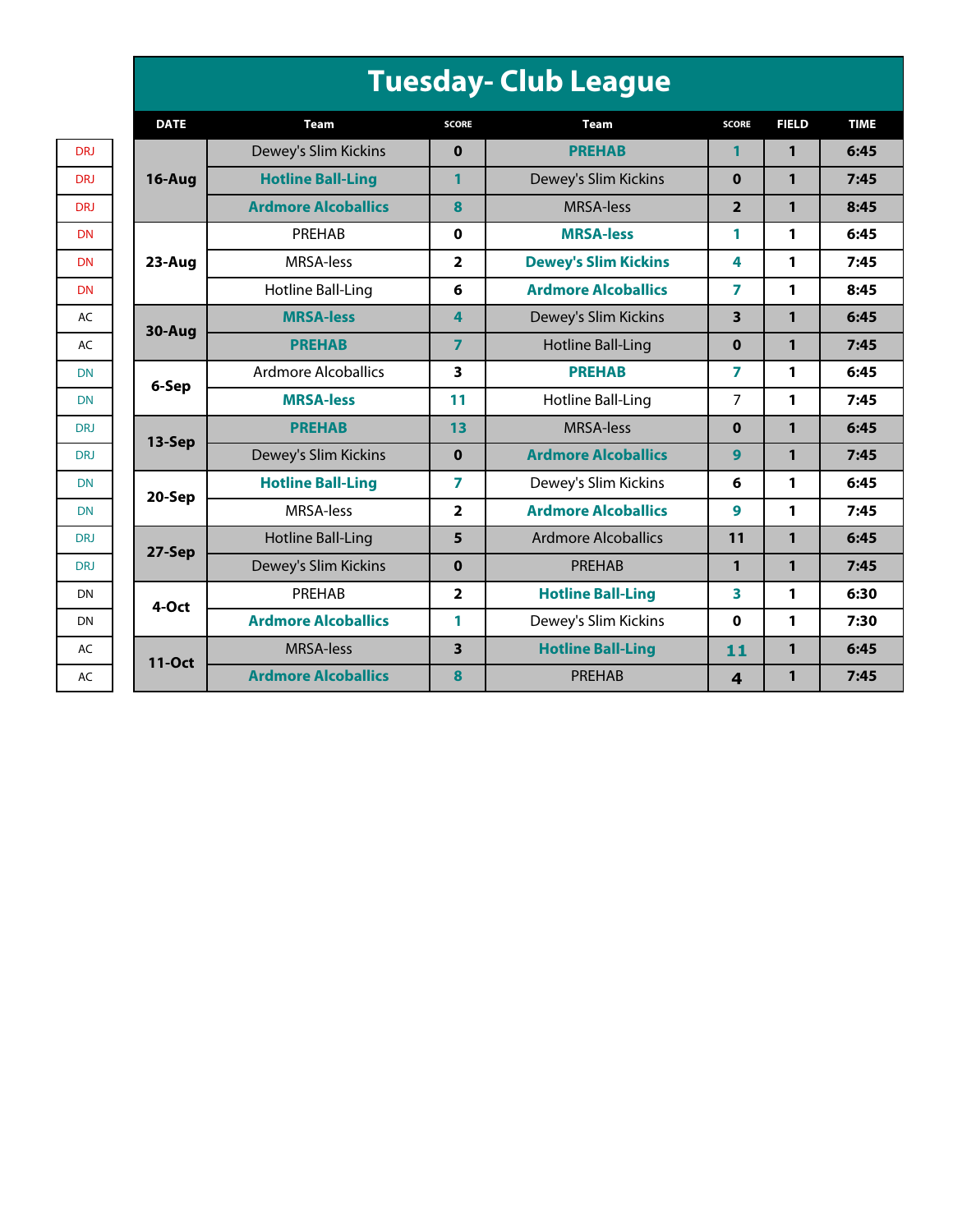| <b>Tuesday- Club League</b> |  |  |  |  |
|-----------------------------|--|--|--|--|
|-----------------------------|--|--|--|--|

|            | <b>DATE</b>   | <b>Team</b>                | <b>SCORE</b>            | <b>Team</b>                 | <b>SCORE</b>            | <b>FIELD</b> | <b>TIME</b> |
|------------|---------------|----------------------------|-------------------------|-----------------------------|-------------------------|--------------|-------------|
| <b>DRJ</b> |               | Dewey's Slim Kickins       | $\bf{0}$                | <b>PREHAB</b>               | 1                       | 1            | 6:45        |
| DRJ        | $16$ -Aug     | <b>Hotline Ball-Ling</b>   | 1                       | Dewey's Slim Kickins        | $\bf{0}$                | 1            | 7:45        |
| DRJ        |               | <b>Ardmore Alcoballics</b> | 8                       | <b>MRSA-less</b>            | $\overline{2}$          | 1            | 8:45        |
| <b>DN</b>  |               | PREHAB                     | $\mathbf 0$             | <b>MRSA-less</b>            | 1                       | 1            | 6:45        |
| <b>DN</b>  | 23-Aug        | MRSA-less                  | $\overline{\mathbf{2}}$ | <b>Dewey's Slim Kickins</b> | 4                       | 1            | 7:45        |
| <b>DN</b>  |               | Hotline Ball-Ling          | 6                       | <b>Ardmore Alcoballics</b>  | 7                       | 1            | 8:45        |
| AC         | 30-Aug        | <b>MRSA-less</b>           | 4                       | Dewey's Slim Kickins        | 3                       | 1            | 6:45        |
| AC         |               | <b>PREHAB</b>              | $\overline{7}$          | <b>Hotline Ball-Ling</b>    | $\bf{0}$                | 1            | 7:45        |
| <b>DN</b>  | 6-Sep         | <b>Ardmore Alcoballics</b> | 3                       | <b>PREHAB</b>               | 7                       | 1            | 6:45        |
| <b>DN</b>  |               | <b>MRSA-less</b>           | 11                      | <b>Hotline Ball-Ling</b>    | 7                       | 1            | 7:45        |
| DRJ        | 13-Sep        | <b>PREHAB</b>              | 13                      | <b>MRSA-less</b>            | $\bf{0}$                | 1            | 6:45        |
| <b>DRJ</b> |               | Dewey's Slim Kickins       | $\mathbf 0$             | <b>Ardmore Alcoballics</b>  | 9                       | 1            | 7:45        |
| <b>DN</b>  | 20-Sep        | <b>Hotline Ball-Ling</b>   | $\overline{ }$          | Dewey's Slim Kickins        | 6                       | 1            | 6:45        |
| <b>DN</b>  |               | MRSA-less                  | $\overline{\mathbf{2}}$ | <b>Ardmore Alcoballics</b>  | 9                       | 1            | 7:45        |
| <b>DRJ</b> | 27-Sep        | Hotline Ball-Ling          | 5                       | <b>Ardmore Alcoballics</b>  | 11                      | 1            | 6:45        |
| DRJ        |               | Dewey's Slim Kickins       | $\bf{0}$                | PREHAB                      | 1                       | 1            | 7:45        |
| <b>DN</b>  | 4-Oct         | PREHAB                     | $\overline{\mathbf{2}}$ | <b>Hotline Ball-Ling</b>    | 3                       | 1            | 6:30        |
| DN         |               | <b>Ardmore Alcoballics</b> | 1                       | Dewey's Slim Kickins        | 0                       | 1            | 7:30        |
| AC         | <b>11-Oct</b> | <b>MRSA-less</b>           | 3                       | <b>Hotline Ball-Ling</b>    | 11                      | 1            | 6:45        |
| AC         |               | <b>Ardmore Alcoballics</b> | 8                       | PREHAB                      | $\overline{\mathbf{4}}$ | 1            | 7:45        |

| DRJ        |
|------------|
| DRJ        |
| DRJ        |
| DN         |
| <b>DN</b>  |
| <b>DN</b>  |
| AC         |
| AC         |
| <b>DN</b>  |
| <b>DN</b>  |
| DRJ        |
| <b>DRJ</b> |
| DN         |
| <b>DN</b>  |
| <b>DRJ</b> |
| DRJ        |
| DN         |
| DN         |
| AC         |
| AC         |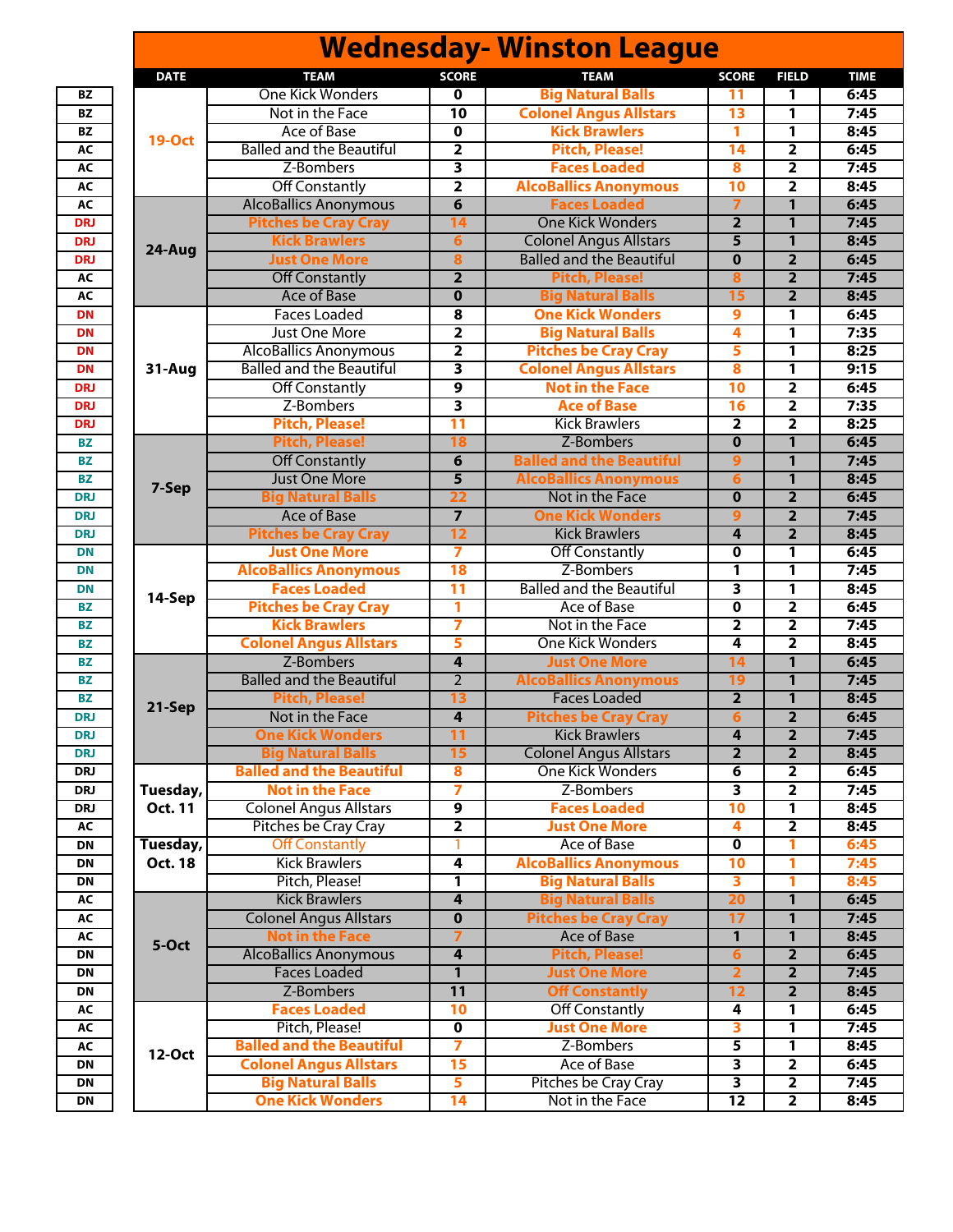|            |                |                                              |                         | <b>Wednesday- Winston League</b>               |                              |                         |              |
|------------|----------------|----------------------------------------------|-------------------------|------------------------------------------------|------------------------------|-------------------------|--------------|
|            | <b>DATE</b>    | <b>TEAM</b>                                  | <b>SCORE</b>            | <b>TEAM</b>                                    | <b>SCORE</b>                 | <b>FIELD</b>            | <b>TIME</b>  |
| <b>BZ</b>  |                | <b>One Kick Wonders</b>                      | 0                       | <b>Big Natural Balls</b>                       | 11                           | 1                       | 6:45         |
| <b>BZ</b>  |                | Not in the Face                              | $\overline{10}$         | <b>Colonel Angus Allstars</b>                  | 13                           | 1                       | 7:45         |
| <b>BZ</b>  |                | <b>Ace of Base</b>                           | $\mathbf 0$             | <b>Kick Brawlers</b>                           | 1                            | 1                       | 8:45         |
| AC         | <b>19-Oct</b>  | <b>Balled and the Beautiful</b>              | $\overline{\mathbf{2}}$ | <b>Pitch, Please!</b>                          | $\overline{14}$              | $\overline{\mathbf{2}}$ | 6:45         |
| AC         |                | Z-Bombers                                    | 3                       | <b>Faces Loaded</b>                            | 8                            | $\overline{\mathbf{2}}$ | 7:45         |
| AC         |                | <b>Off Constantly</b>                        | $\overline{\mathbf{2}}$ | <b>AlcoBallics Anonymous</b>                   | 10                           | $\overline{\mathbf{2}}$ | 8:45         |
| AC         |                | <b>AlcoBallics Anonymous</b>                 | 6                       | <b>Faces Loaded</b>                            | 7                            | $\mathbf{1}$            | 6:45         |
| DRJ        |                | <b>Pitches be Cray Cray</b>                  | 14                      | <b>One Kick Wonders</b>                        | $\overline{2}$               | $\mathbf{1}$            | 7:45         |
| DRJ        |                | <b>Kick Brawlers</b>                         | $6\phantom{1}6$         | <b>Colonel Angus Allstars</b>                  | 5                            | 1                       | 8:45         |
| DRJ        | 24-Aug         | <b>Just One More</b>                         | 8                       | <b>Balled and the Beautiful</b>                | $\mathbf 0$                  | $\overline{2}$          | 6:45         |
| <b>AC</b>  |                | <b>Off Constantly</b>                        | $\overline{\mathbf{2}}$ | <b>Pitch, Please!</b>                          | 8                            | $\overline{\mathbf{2}}$ | 7:45         |
| AC         |                | <b>Ace of Base</b>                           | $\overline{\mathbf{0}}$ | <b>Big Natural Balls</b>                       | 15                           | $\overline{2}$          | 8:45         |
| <b>DN</b>  |                | <b>Faces Loaded</b>                          | 8                       | <b>One Kick Wonders</b>                        | 9                            | 1                       | 6:45         |
| <b>DN</b>  |                | Just One More                                | $\overline{\mathbf{2}}$ | <b>Big Natural Balls</b>                       | 4                            | 1                       | 7:35         |
| <b>DN</b>  |                | <b>AlcoBallics Anonymous</b>                 | $\overline{\mathbf{2}}$ | <b>Pitches be Cray Cray</b>                    | 5                            | 1                       | 8:25         |
| <b>DN</b>  | 31-Aug         | <b>Balled and the Beautiful</b>              | $\overline{\mathbf{3}}$ | <b>Colonel Angus Allstars</b>                  | 8                            | $\overline{\mathbf{1}}$ | 9:15         |
| DRJ        |                | <b>Off Constantly</b>                        | 9                       | <b>Not in the Face</b>                         | $\overline{10}$              | $\overline{\mathbf{2}}$ | 6:45         |
| DRJ        |                | Z-Bombers                                    | $\overline{\mathbf{3}}$ | <b>Ace of Base</b>                             | $\overline{16}$              | $\overline{\mathbf{2}}$ | 7:35         |
| DRJ        |                | <b>Pitch, Please!</b>                        | 11                      | <b>Kick Brawlers</b>                           | $\overline{\mathbf{2}}$      | $\overline{\mathbf{2}}$ | 8:25         |
| <b>BZ</b>  |                | <b>Pitch, Please!</b>                        | 18                      | Z-Bombers                                      | $\overline{0}$               | $\overline{1}$          | 6:45         |
| <b>BZ</b>  |                | <b>Off Constantly</b>                        | 6                       | <b>Balled and the Beautiful</b>                | 9                            | $\overline{1}$          | 7:45         |
| <b>BZ</b>  |                | <b>Just One More</b>                         | 5                       | <b>AlcoBallics Anonymous</b>                   | 6                            | $\mathbf{1}$            | 8:45         |
| <b>DRJ</b> | 7-Sep          | <b>Big Natural Balls</b>                     | 22                      | Not in the Face                                | $\overline{0}$               | $\overline{2}$          | 6:45         |
| DRJ        |                | <b>Ace of Base</b>                           |                         | <b>One Kick Wonders</b>                        | 9                            | $\overline{2}$          | 7:45         |
| <b>DRJ</b> |                | <b>Pitches be Cray Cray</b>                  | $\overline{12}$         | <b>Kick Brawlers</b>                           | 4                            | $\overline{2}$          | 8:45         |
| <b>DN</b>  |                | <b>Just One More</b>                         | 7                       | <b>Off Constantly</b>                          | $\mathbf 0$                  | 1                       | 6:45         |
| <b>DN</b>  |                | <b>AlcoBallics Anonymous</b>                 | 18                      | Z-Bombers                                      | 1                            | 1                       | 7:45         |
| <b>DN</b>  |                | <b>Faces Loaded</b>                          | $\overline{11}$         | <b>Balled and the Beautiful</b>                | 3                            | $\overline{1}$          | 8:45         |
| <b>BZ</b>  | 14-Sep         | <b>Pitches be Cray Cray</b>                  | 1                       | <b>Ace of Base</b>                             | 0                            | $\overline{\mathbf{2}}$ | 6:45         |
| <b>BZ</b>  |                | <b>Kick Brawlers</b>                         | 7                       | Not in the Face                                | 2                            | $\overline{\mathbf{2}}$ | 7:45         |
| <b>BZ</b>  |                | <b>Colonel Angus Allstars</b>                | 5                       | <b>One Kick Wonders</b>                        | 4                            | $\overline{\mathbf{2}}$ | 8:45         |
| <b>BZ</b>  |                | Z-Bombers                                    | 4                       | <b>Just One More</b>                           | 14                           | $\mathbf{1}$            | 6:45         |
| <b>BZ</b>  |                | <b>Balled and the Beautiful</b>              | $\overline{2}$          | <b>AlcoBallics Anonymous</b>                   | 19                           | $\mathbf{1}$            | 7:45         |
| <b>BZ</b>  |                | <b>Pitch, Please!</b>                        | 13                      | <b>Faces Loaded</b>                            | $\overline{2}$               | 1                       | 8:45         |
| DRJ        | 21-Sep         | Not in the Face                              | 4                       | <b>Pitches be Cray Cray</b>                    | 6                            | $\overline{2}$          | 6:45         |
|            |                |                                              |                         |                                                |                              |                         |              |
| DRJ<br>DRJ |                | One Kick Wonders<br><b>Big Natural Balls</b> | 11<br>15                | Kick Brawlers<br><b>Colonel Angus Allstars</b> | 4<br>$\overline{\mathbf{2}}$ | 2<br>$\overline{2}$     | 7:45<br>8:45 |
|            |                | <b>Balled and the Beautiful</b>              | 8                       | <b>One Kick Wonders</b>                        |                              | 2                       | 6:45         |
| DRJ<br>DRJ | Tuesday,       | <b>Not in the Face</b>                       | 7                       | Z-Bombers                                      | 6<br>3                       | $\overline{2}$          | 7:45         |
| DRJ        | Oct. 11        | <b>Colonel Angus Allstars</b>                | 9                       | <b>Faces Loaded</b>                            | $\overline{10}$              | 1                       | 8:45         |
|            |                |                                              | $\overline{\mathbf{2}}$ | <b>Just One More</b>                           |                              | $\overline{2}$          |              |
| AC         |                | Pitches be Cray Cray                         |                         | Ace of Base                                    | 4<br>$\overline{\mathbf{0}}$ | 1                       | 8:45         |
| <b>DN</b>  | Tuesday,       | <b>Off Constantly</b>                        |                         |                                                |                              |                         | 6:45         |
| DN         | <b>Oct. 18</b> | <b>Kick Brawlers</b>                         | 4                       | <b>AlcoBallics Anonymous</b>                   | $\overline{10}$              | 1                       | 7:45         |
| DN         |                | Pitch, Please!                               | 1                       | <b>Big Natural Balls</b>                       | 3                            | 1                       | 8:45         |
| AC         |                | <b>Kick Brawlers</b>                         | 4                       | <b>Big Natural Balls</b>                       | 20                           | 1                       | 6:45         |
| AC         |                | <b>Colonel Angus Allstars</b>                | $\overline{\mathbf{0}}$ | <b>Pitches be Cray Cray</b>                    | 17                           | 1                       | 7:45         |
| AC         | 5-Oct          | <b>Not in the Face</b>                       | 7                       | Ace of Base                                    | $\mathbf{1}$                 | 1                       | 8:45         |
| DN         |                | <b>AlcoBallics Anonymous</b>                 | $\overline{\mathbf{4}}$ | <b>Pitch, Please!</b>                          | 6                            | $\overline{2}$          | 6:45         |
| <b>DN</b>  |                | <b>Faces Loaded</b>                          | $\mathbf{1}$            | <b>Just One More</b>                           | $\overline{2}$               | $\overline{2}$          | 7:45         |
| DN         |                | Z-Bombers                                    | $\overline{11}$         | <b>Off Constantly</b>                          | $\overline{12}$              | $\overline{2}$          | 8:45         |
| AC         |                | <b>Faces Loaded</b>                          | 10                      | <b>Off Constantly</b>                          | 4                            | 1                       | 6:45         |
| AC         |                | Pitch, Please!                               | $\overline{\textbf{0}}$ | <b>Just One More</b>                           | 3                            | 1                       | 7:45         |
| AC         | 12-Oct         | <b>Balled and the Beautiful</b>              | 7                       | Z-Bombers                                      | 5                            | $\overline{1}$          | 8:45         |
| DN         |                | <b>Colonel Angus Allstars</b>                | $\overline{15}$         | Ace of Base                                    | $\overline{\mathbf{3}}$      | $\overline{2}$          | 6:45         |
| <b>DN</b>  |                | <b>Big Natural Balls</b>                     | 5                       | Pitches be Cray Cray                           | $\overline{\mathbf{3}}$      | $\overline{2}$          | 7:45         |
| <b>DN</b>  |                | <b>One Kick Wonders</b>                      | 14                      | Not in the Face                                | $\overline{12}$              | $\overline{2}$          | 8:45         |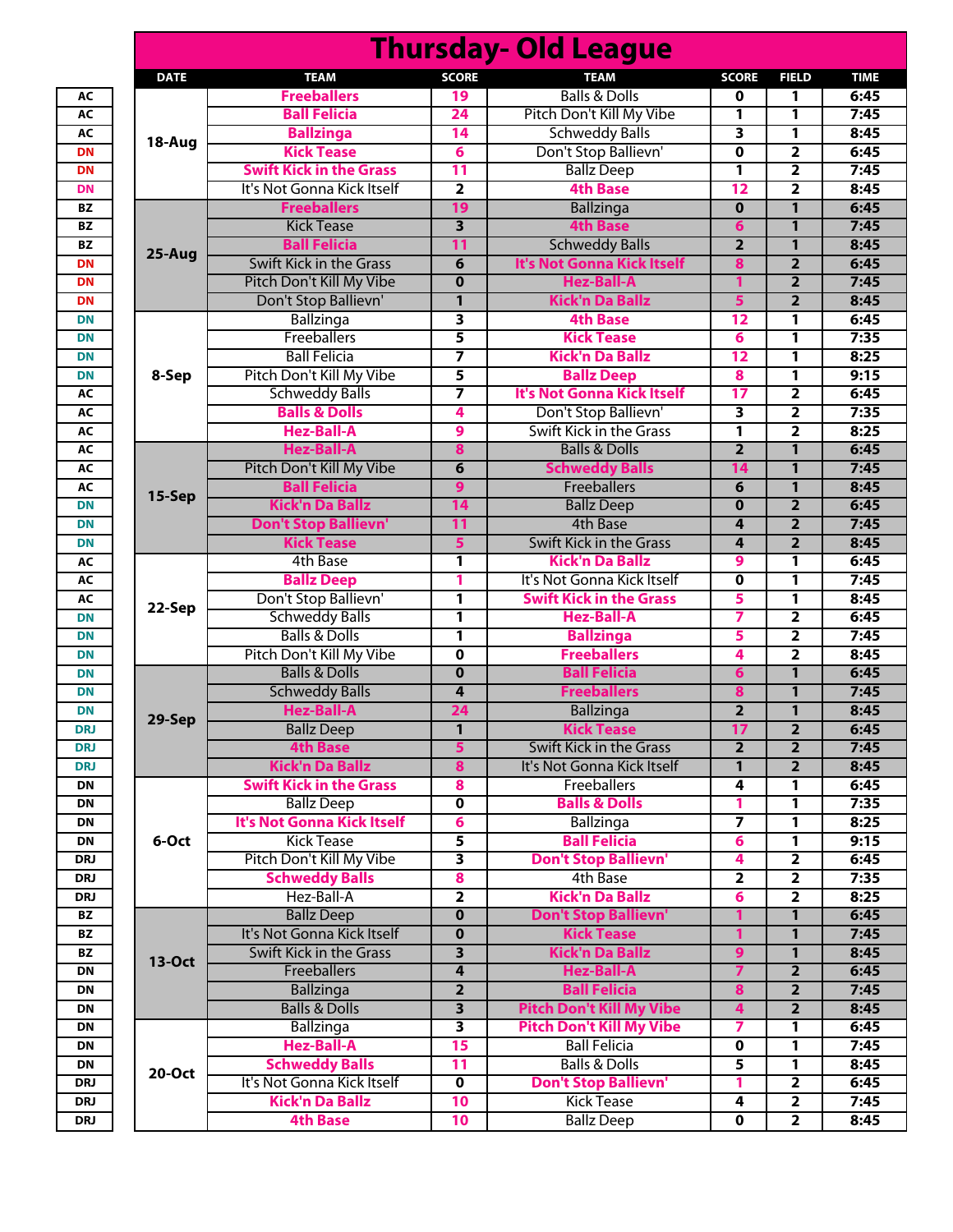|                        | <b>Thursday- Old League</b> |                                                          |                         |                                           |                |                                  |              |  |  |  |
|------------------------|-----------------------------|----------------------------------------------------------|-------------------------|-------------------------------------------|----------------|----------------------------------|--------------|--|--|--|
|                        | <b>DATE</b>                 | <b>TEAM</b>                                              | <b>SCORE</b>            | <b>TEAM</b>                               | <b>SCORE</b>   | <b>FIELD</b>                     | <b>TIME</b>  |  |  |  |
| AC                     |                             | <b>Freeballers</b>                                       | 19                      | <b>Balls &amp; Dolls</b>                  | 0              | 1                                | 6:45         |  |  |  |
| AC                     |                             | <b>Ball Felicia</b>                                      | 24                      | Pitch Don't Kill My Vibe                  | 1              | 1                                | 7:45         |  |  |  |
| AC                     | 18-Aug                      | <b>Ballzinga</b>                                         | 14                      | <b>Schweddy Balls</b>                     | 3              | 1                                | 8:45         |  |  |  |
| <b>DN</b>              |                             | <b>Kick Tease</b>                                        | 6                       | Don't Stop Ballievn'                      | $\mathbf 0$    | $\overline{\mathbf{2}}$          | 6:45         |  |  |  |
| <b>DN</b>              |                             | <b>Swift Kick in the Grass</b>                           | $\overline{11}$         | <b>Ballz Deep</b>                         | 1              | $\overline{\mathbf{2}}$          | 7:45         |  |  |  |
| <b>DN</b>              |                             | It's Not Gonna Kick Itself                               | $\overline{\mathbf{2}}$ | <b>4th Base</b>                           | 12             | $\overline{\mathbf{2}}$          | 8:45         |  |  |  |
| BZ                     |                             | <b>Freeballers</b>                                       | 19                      | <b>Ballzinga</b>                          | $\bf{0}$       | $\mathbf{1}$                     | 6:45         |  |  |  |
| BZ                     |                             | <b>Kick Tease</b>                                        | $\overline{\mathbf{3}}$ | <b>4th Base</b>                           | 6              | $\mathbf{1}$                     | 7:45         |  |  |  |
| <b>BZ</b>              | 25-Aug                      | <b>Ball Felicia</b>                                      | $\overline{11}$         | <b>Schweddy Balls</b>                     | $\overline{2}$ | $\mathbf{1}$                     | 8:45         |  |  |  |
| <b>DN</b>              |                             | <b>Swift Kick in the Grass</b>                           | 6                       | It's Not Gonna Kick Itself                | 8              | $\overline{2}$                   | 6:45         |  |  |  |
| <b>DN</b><br><b>DN</b> |                             | Pitch Don't Kill My Vibe                                 | $\bf{0}$                | <b>Hez-Ball-A</b>                         | 1              | $\overline{2}$<br>$\overline{2}$ | 7:45<br>8:45 |  |  |  |
| <b>DN</b>              |                             | Don't Stop Ballievn'<br>Ballzinga                        | 1<br>3                  | <b>Kick'n Da Ballz</b><br><b>4th Base</b> | 5<br>12        | 1                                | 6:45         |  |  |  |
| <b>DN</b>              |                             | Freeballers                                              | 5                       | <b>Kick Tease</b>                         | 6              | 1                                | 7:35         |  |  |  |
| <b>DN</b>              |                             | <b>Ball Felicia</b>                                      | 7                       | <b>Kick'n Da Ballz</b>                    | 12             | 1                                | 8:25         |  |  |  |
| <b>DN</b>              | 8-Sep                       | Pitch Don't Kill My Vibe                                 | 5                       | <b>Ballz Deep</b>                         | 8              | 1                                | 9:15         |  |  |  |
| AC                     |                             | <b>Schweddy Balls</b>                                    | 7                       | It's Not Gonna Kick Itself                | 17             | $\overline{\mathbf{2}}$          | 6:45         |  |  |  |
| AC                     |                             | <b>Balls &amp; Dolls</b>                                 | 4                       | Don't Stop Ballievn'                      | 3              | $\overline{\mathbf{2}}$          | 7:35         |  |  |  |
| AC                     |                             | <b>Hez-Ball-A</b>                                        | 9                       | Swift Kick in the Grass                   | 1              | $\overline{\mathbf{2}}$          | 8:25         |  |  |  |
| AC                     |                             | <b>Hez-Ball-A</b>                                        | 8                       | <b>Balls &amp; Dolls</b>                  | $\overline{2}$ | 1                                | 6:45         |  |  |  |
| AC                     |                             | Pitch Don't Kill My Vibe                                 | 6                       | <b>Schweddy Balls</b>                     | 14             | $\mathbf{1}$                     | 7:45         |  |  |  |
| AC                     |                             | <b>Ball Felicia</b>                                      | 9                       | Freeballers                               | 6              | 1                                | 8:45         |  |  |  |
| <b>DN</b>              | 15-Sep                      | <b>Kick'n Da Ballz</b>                                   | 14                      | <b>Ballz Deep</b>                         | $\bf{0}$       | $\overline{2}$                   | 6:45         |  |  |  |
| <b>DN</b>              |                             | <b>Don't Stop Ballievn'</b>                              | $\overline{11}$         | 4th Base                                  | 4              | $\overline{2}$                   | 7:45         |  |  |  |
| <b>DN</b>              |                             | <b>Kick Tease</b>                                        | 5                       | <b>Swift Kick in the Grass</b>            | 4              | $\overline{2}$                   | 8:45         |  |  |  |
| <b>AC</b>              | 22-Sep                      | 4th Base                                                 | 1                       | <b>Kick'n Da Ballz</b>                    | 9              | 1                                | 6:45         |  |  |  |
| AC                     |                             | <b>Ballz Deep</b>                                        | 1                       | It's Not Gonna Kick Itself                | 0              | 1                                | 7:45         |  |  |  |
| AC                     |                             | Don't Stop Ballievn'                                     | 1                       | <b>Swift Kick in the Grass</b>            | 5              | 1                                | 8:45         |  |  |  |
| <b>DN</b>              |                             | <b>Schweddy Balls</b>                                    | $\overline{\mathbf{1}}$ | <b>Hez-Ball-A</b>                         | 7              | $\overline{\mathbf{2}}$          | 6:45         |  |  |  |
| <b>DN</b>              |                             | <b>Balls &amp; Dolls</b>                                 | 1                       | <b>Ballzinga</b>                          | 5              | $\overline{\mathbf{2}}$          | 7:45         |  |  |  |
| <b>DN</b>              |                             | Pitch Don't Kill My Vibe                                 | 0                       | <b>Freeballers</b>                        | 4              | $\overline{\mathbf{2}}$          | 8:45         |  |  |  |
| <b>DN</b>              |                             | <b>Balls &amp; Dolls</b>                                 | $\bf{0}$                | <b>Ball Felicia</b>                       | 6              | 1                                | 6:45         |  |  |  |
| <b>DN</b>              |                             | <b>Schweddy Balls</b>                                    | 4                       | <b>Freeballers</b>                        | 8              | $\mathbf{1}$                     | 7:45         |  |  |  |
| <b>DN</b>              | 29-Sep                      | <b>Hez-Ball-A</b>                                        | 24                      | <b>Ballzinga</b>                          | $\overline{2}$ | 1                                | 8:45         |  |  |  |
| DRJ                    |                             | <b>Ballz Deep</b>                                        | $\overline{\mathbf{1}}$ | <b>Kick Tease</b>                         | 17             | $\overline{2}$                   | 6:45         |  |  |  |
| DRJ                    |                             | <b>4th Base</b>                                          | 5                       | Swift Kick in the Grass                   | $\overline{2}$ | $\overline{2}$                   | 7:45         |  |  |  |
| DRJ<br>DN              |                             | <b>Kick'n Da Ballz</b><br><b>Swift Kick in the Grass</b> | 8                       | It's Not Gonna Kick Itself<br>Freeballers | 1              | $\overline{2}$                   | 8:45<br>6:45 |  |  |  |
| DN                     |                             | <b>Ballz Deep</b>                                        | 8<br>0                  | <b>Balls &amp; Dolls</b>                  | 4<br>1         | 1<br>1                           | 7:35         |  |  |  |
| DN                     |                             | <b>It's Not Gonna Kick Itself</b>                        | 6                       | Ballzinga                                 | $\overline{ }$ | 1                                | 8:25         |  |  |  |
| DN                     | 6-Oct                       | <b>Kick Tease</b>                                        | 5                       | <b>Ball Felicia</b>                       | 6              | 1                                | 9:15         |  |  |  |
| DRJ                    |                             | Pitch Don't Kill My Vibe                                 | 3                       | <b>Don't Stop Ballievn'</b>               | 4              | $\overline{2}$                   | 6:45         |  |  |  |
| DRJ                    |                             | <b>Schweddy Balls</b>                                    | 8                       | 4th Base                                  | $\overline{2}$ | $\overline{2}$                   | 7:35         |  |  |  |
| DRJ                    |                             | Hez-Ball-A                                               | 2                       | <b>Kick'n Da Ballz</b>                    | 6              | $\overline{2}$                   | 8:25         |  |  |  |
| BZ                     |                             | <b>Ballz Deep</b>                                        | $\bf{0}$                | <b>Don't Stop Ballievn'</b>               | 1              | 1                                | 6:45         |  |  |  |
| BZ                     |                             | It's Not Gonna Kick Itself                               | 0                       | <b>Kick Tease</b>                         | 1              | 1                                | 7:45         |  |  |  |
| BZ                     |                             | Swift Kick in the Grass                                  | 3                       | <b>Kick'n Da Ballz</b>                    | 9              | 1                                | 8:45         |  |  |  |
| DN                     | 13-Oct                      | <b>Freeballers</b>                                       | 4                       | <b>Hez-Ball-A</b>                         | 7              | $\overline{2}$                   | 6:45         |  |  |  |
| DN                     |                             | <b>Ballzinga</b>                                         | $\overline{\mathbf{2}}$ | <b>Ball Felicia</b>                       | 8              | $\overline{2}$                   | 7:45         |  |  |  |
| DN                     |                             | <b>Balls &amp; Dolls</b>                                 | $\overline{\mathbf{3}}$ | <b>Pitch Don't Kill My Vibe</b>           | 4              | $\overline{2}$                   | 8:45         |  |  |  |
| DN                     |                             | Ballzinga                                                | 3                       | <b>Pitch Don't Kill My Vibe</b>           | 7              | 1                                | 6:45         |  |  |  |
| DN                     |                             | <b>Hez-Ball-A</b>                                        | 15                      | <b>Ball Felicia</b>                       | 0              | 1                                | 7:45         |  |  |  |
| DN                     | 20-Oct                      | <b>Schweddy Balls</b>                                    | 11                      | <b>Balls &amp; Dolls</b>                  | 5              | 1                                | 8:45         |  |  |  |
| DRJ                    |                             | It's Not Gonna Kick Itself                               | 0                       | <b>Don't Stop Ballievn'</b>               | 1              | $\overline{\mathbf{2}}$          | 6:45         |  |  |  |
| DRJ                    |                             | <b>Kick'n Da Ballz</b>                                   | 10                      | <b>Kick Tease</b>                         | 4              | $\mathbf{2}$                     | 7:45         |  |  |  |
| DRJ                    |                             | <b>4th Base</b>                                          | 10                      | <b>Ballz Deep</b>                         | 0              | $\mathbf{2}$                     | 8:45         |  |  |  |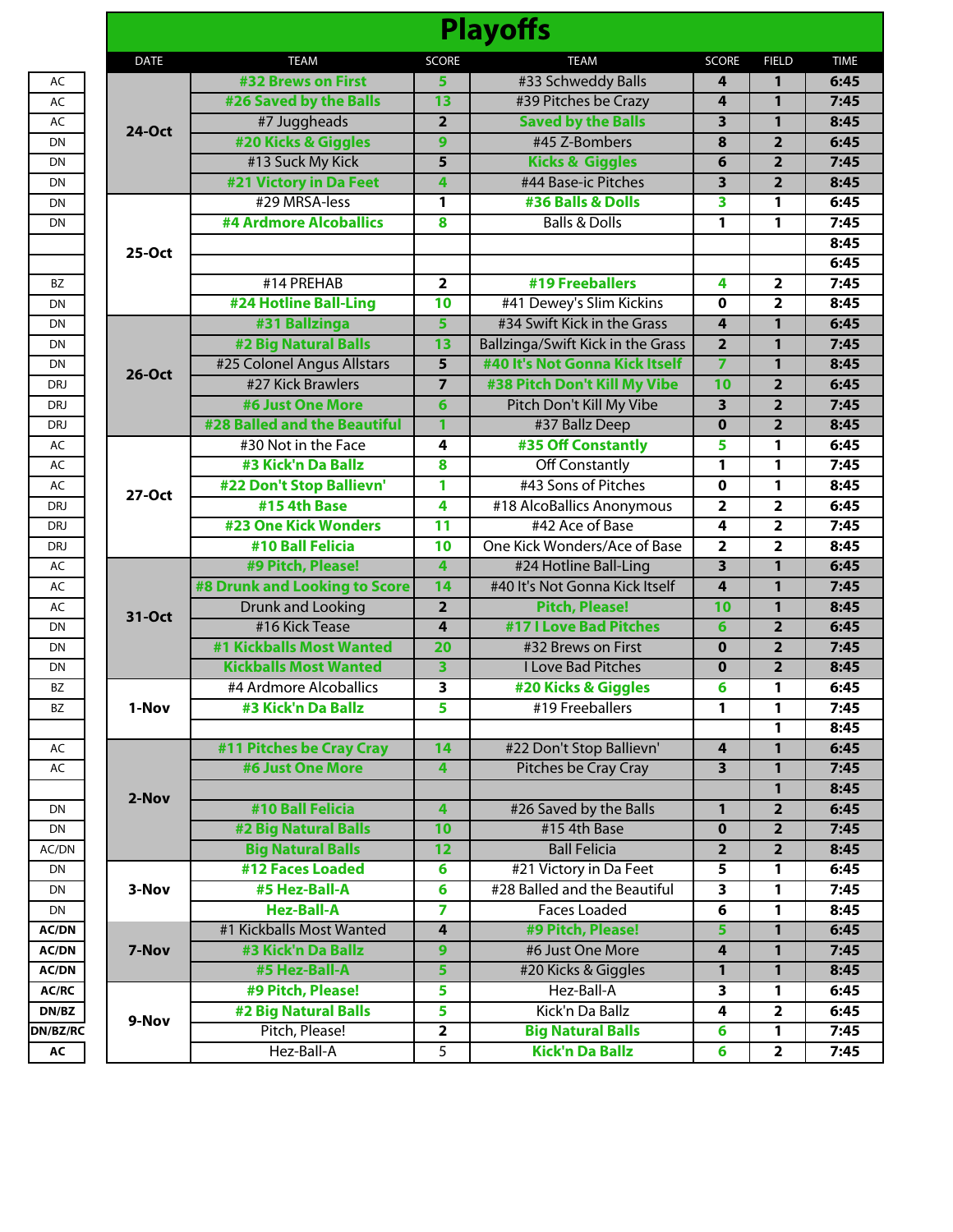| <b>Playoffs</b> |                               |                         |                                   |                         |                         |             |  |  |
|-----------------|-------------------------------|-------------------------|-----------------------------------|-------------------------|-------------------------|-------------|--|--|
| <b>DATE</b>     | <b>TEAM</b>                   | <b>SCORE</b>            | <b>TEAM</b>                       | <b>SCORE</b>            | <b>FIELD</b>            | <b>TIME</b> |  |  |
| <b>24-Oct</b>   | #32 Brews on First            | 5                       | #33 Schweddy Balls                | 4                       | 1                       | 6:45        |  |  |
|                 | #26 Saved by the Balls        | 13                      | #39 Pitches be Crazy              | 4                       | 1                       | 7:45        |  |  |
|                 | #7 Juggheads                  | $\overline{2}$          | <b>Saved by the Balls</b>         | $\overline{\mathbf{3}}$ | 1                       | 8:45        |  |  |
|                 | #20 Kicks & Giggles           | 9                       | #45 Z-Bombers                     | 8                       | $\overline{2}$          | 6:45        |  |  |
|                 | #13 Suck My Kick              | $\overline{5}$          | <b>Kicks &amp; Giggles</b>        | 6                       | $\overline{2}$          | 7:45        |  |  |
|                 | #21 Victory in Da Feet        | 4                       | #44 Base-ic Pitches               | 3                       | $\overline{2}$          | 8:45        |  |  |
|                 | #29 MRSA-less                 | 1                       | #36 Balls & Dolls                 | 3                       | 1                       | 6:45        |  |  |
|                 | #4 Ardmore Alcoballics        | 8                       | <b>Balls &amp; Dolls</b>          | 1                       | 1                       | 7:45        |  |  |
|                 |                               |                         |                                   |                         |                         | 8:45        |  |  |
| 25-Oct          |                               |                         |                                   |                         |                         | 6:45        |  |  |
|                 | #14 PREHAB                    | $\overline{2}$          | #19 Freeballers                   | 4                       | $\overline{2}$          | 7:45        |  |  |
|                 | #24 Hotline Ball-Ling         | $\overline{10}$         | #41 Dewey's Slim Kickins          | $\mathbf 0$             | $\overline{2}$          | 8:45        |  |  |
|                 | #31 Ballzinga                 | $\overline{5}$          | #34 Swift Kick in the Grass       | $\overline{\mathbf{4}}$ | 1                       | 6:45        |  |  |
|                 | #2 Big Natural Balls          | $\overline{13}$         | Ballzinga/Swift Kick in the Grass | $\overline{2}$          | 1                       | 7:45        |  |  |
| <b>26-Oct</b>   | #25 Colonel Angus Allstars    | $\overline{5}$          | #40 It's Not Gonna Kick Itself    | $\overline{7}$          | 1                       | 8:45        |  |  |
|                 | #27 Kick Brawlers             |                         | #38 Pitch Don't Kill My Vibe      | 10                      | $\overline{2}$          | 6:45        |  |  |
|                 | #6 Just One More              | 6                       | Pitch Don't Kill My Vibe          | 3                       | $\overline{2}$          | 7:45        |  |  |
|                 | #28 Balled and the Beautiful  | 1                       | #37 Ballz Deep                    | $\overline{\mathbf{0}}$ | $\overline{2}$          | 8:45        |  |  |
| 27-Oct          | #30 Not in the Face           | $\overline{4}$          | #35 Off Constantly                | 5                       | 1                       | 6:45        |  |  |
|                 | #3 Kick'n Da Ballz            | 8                       | <b>Off Constantly</b>             | 1                       | 1                       | 7:45        |  |  |
|                 | #22 Don't Stop Ballievn'      | 1                       | #43 Sons of Pitches               | $\overline{\mathbf{0}}$ | 1                       | 8:45        |  |  |
|                 | #15 4th Base                  | $\overline{\mathbf{4}}$ | #18 AlcoBallics Anonymous         | $\overline{2}$          | $\overline{\mathbf{2}}$ | 6:45        |  |  |
|                 | <b>#23 One Kick Wonders</b>   | $\overline{11}$         | #42 Ace of Base                   | 4                       | $\overline{\mathbf{2}}$ | 7:45        |  |  |
|                 | #10 Ball Felicia              | $\overline{10}$         | One Kick Wonders/Ace of Base      | $\overline{2}$          | $\overline{2}$          | 8:45        |  |  |
| 31-Oct          | #9 Pitch, Please!             | $\overline{4}$          | #24 Hotline Ball-Ling             | $\overline{\mathbf{3}}$ | 1                       | 6:45        |  |  |
|                 | #8 Drunk and Looking to Score | 14                      | #40 It's Not Gonna Kick Itself    | $\overline{\mathbf{4}}$ | 1                       | 7:45        |  |  |
|                 | <b>Drunk and Looking</b>      | $\overline{2}$          | <b>Pitch, Please!</b>             | 10                      | 1                       | 8:45        |  |  |
|                 | #16 Kick Tease                | 4                       | <b>#17   Love Bad Pitches</b>     | 6                       | $\overline{2}$          | 6:45        |  |  |
|                 | #1 Kickballs Most Wanted      | $\overline{20}$         | #32 Brews on First                | $\mathbf 0$             | $\overline{2}$          | 7:45        |  |  |
|                 | <b>Kickballs Most Wanted</b>  | $\overline{\mathbf{3}}$ | <b>I Love Bad Pitches</b>         | $\mathbf 0$             | $\overline{2}$          | 8:45        |  |  |
|                 | #4 Ardmore Alcoballics        | 3                       | #20 Kicks & Giggles               | 6                       | 1                       | 6:45        |  |  |
| 1-Nov           | #3 Kick'n Da Ballz            | 5                       | #19 Freeballers                   | 1                       | 1                       | 7:45        |  |  |
|                 |                               |                         |                                   |                         | 1                       | 8:45        |  |  |
|                 | #11 Pitches be Cray Cray      | 14                      | #22 Don't Stop Ballievn'          | $\overline{\mathbf{4}}$ | $\mathbf{1}$            | 6:45        |  |  |
|                 | #6 Just One More              | $\overline{4}$          | Pitches be Cray Cray              | $\overline{3}$          | 1                       | 7:45        |  |  |
| 2-Nov           |                               |                         |                                   |                         | 1                       | 8:45        |  |  |
|                 | #10 Ball Felicia              | $\overline{4}$          | #26 Saved by the Balls            | $\mathbf{1}$            | $\overline{2}$          | 6:45        |  |  |
|                 | <b>#2 Big Natural Balls</b>   | 10                      | #15 4th Base                      | $\mathbf 0$             | $\overline{2}$          | 7:45        |  |  |
|                 | <b>Big Natural Balls</b>      | $\overline{12}$         | <b>Ball Felicia</b>               | $\overline{2}$          | $\overline{2}$          | 8:45        |  |  |
|                 | #12 Faces Loaded              | 6                       | #21 Victory in Da Feet            | $\overline{5}$          | 1                       | 6:45        |  |  |
| 3-Nov           | #5 Hez-Ball-A                 | $6\overline{6}$         | #28 Balled and the Beautiful      | $\overline{\mathbf{3}}$ | 1                       | 7:45        |  |  |
|                 | <b>Hez-Ball-A</b>             | $\overline{7}$          | <b>Faces Loaded</b>               | $\overline{\mathbf{6}}$ | 1                       | 8:45        |  |  |
| 7-Nov           | #1 Kickballs Most Wanted      | $\overline{4}$          | #9 Pitch, Please!                 | 5                       | 1                       | 6:45        |  |  |
|                 | #3 Kick'n Da Ballz            | $\overline{9}$          | #6 Just One More                  | $\boldsymbol{4}$        | 1                       | 7:45        |  |  |
|                 | #5 Hez-Ball-A                 | 5                       | #20 Kicks & Giggles               | 1                       | $\mathbf{1}$            | 8:45        |  |  |
|                 | #9 Pitch, Please!             | 5                       | Hez-Ball-A                        | $\overline{\mathbf{3}}$ | 1                       | 6:45        |  |  |
|                 | #2 Big Natural Balls          | 5                       | Kick'n Da Ballz                   | 4                       | $\overline{2}$          | 6:45        |  |  |
| 9-Nov           | Pitch, Please!                | $\overline{2}$          | <b>Big Natural Balls</b>          | $\overline{\mathbf{6}}$ | 1                       | 7:45        |  |  |
|                 | Hez-Ball-A                    | $\overline{5}$          | <b>Kick'n Da Ballz</b>            | 6                       | $\overline{2}$          | 7:45        |  |  |
|                 |                               |                         |                                   |                         |                         |             |  |  |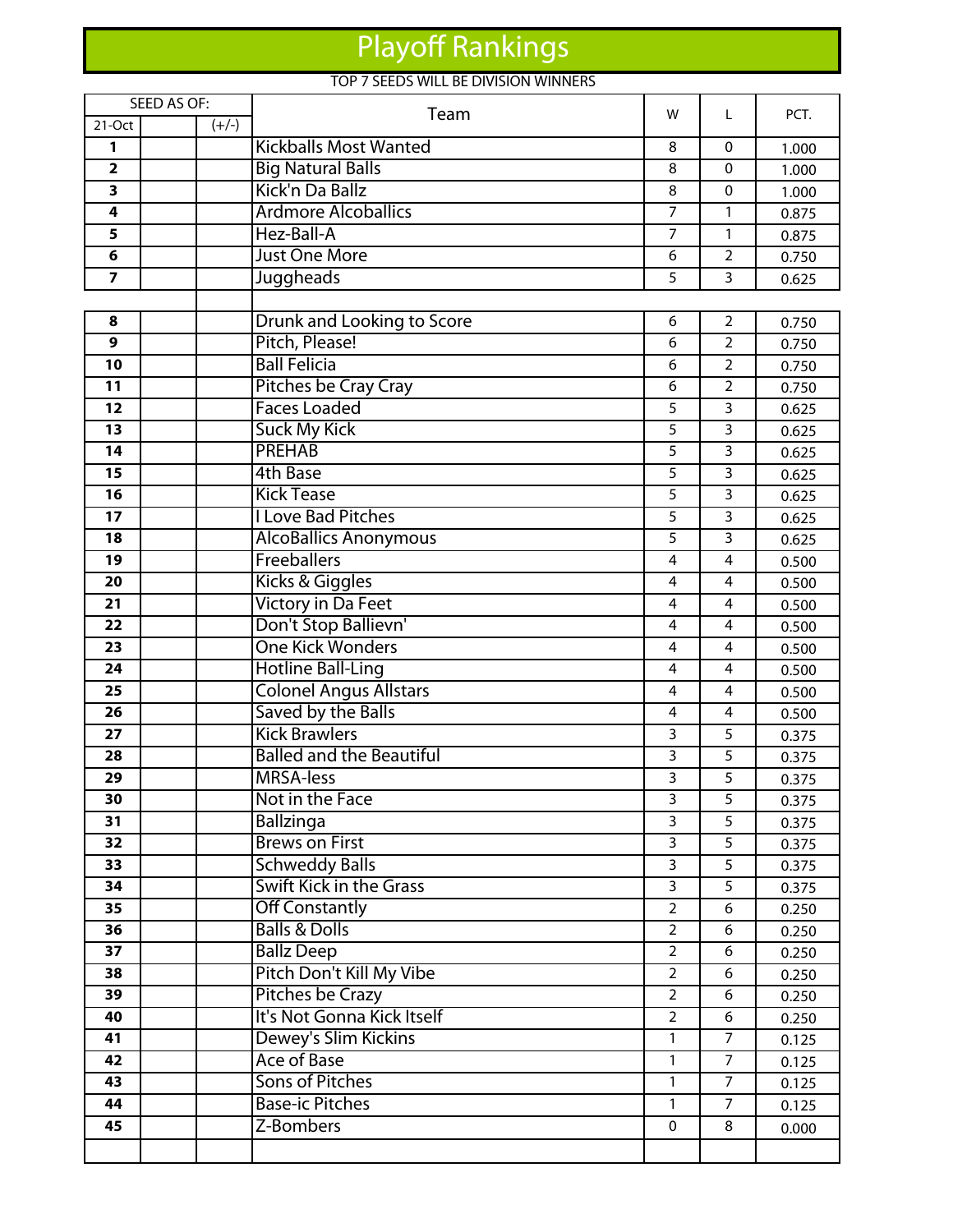## Playoff Rankings

## TOP 7 SEEDS WILL BE DIVISION WINNERS

| SEED AS OF:             |         |                                    | w                   | L              | PCT.           |  |
|-------------------------|---------|------------------------------------|---------------------|----------------|----------------|--|
| 21-Oct                  | $(+/-)$ | Team                               |                     |                |                |  |
| 1                       |         | <b>Kickballs Most Wanted</b>       | 8                   | $\Omega$       | 1.000          |  |
| $\overline{\mathbf{2}}$ |         | <b>Big Natural Balls</b>           | 8                   | 0              | 1.000          |  |
| 3                       |         | Kick'n Da Ballz                    | 8                   | 0              | 1.000          |  |
| 4                       |         | <b>Ardmore Alcoballics</b>         | $\overline{7}$      | $\mathbf{1}$   | 0.875          |  |
| 5                       |         | Hez-Ball-A                         | 7                   | 1              | 0.875          |  |
| 6                       |         | <b>Just One More</b>               | 6                   | $\overline{2}$ | 0.750          |  |
| 7                       |         | <b>Juggheads</b>                   | 5                   | 3              | 0.625          |  |
|                         |         |                                    |                     |                |                |  |
| 8                       |         | <b>Drunk and Looking to Score</b>  | 6                   | $\overline{2}$ | 0.750          |  |
| 9                       |         | Pitch, Please!                     | 6                   | $\overline{2}$ | 0.750          |  |
| 10                      |         | <b>Ball Felicia</b>                | 6                   | $\overline{2}$ | 0.750          |  |
| 11                      |         | Pitches be Cray Cray               | 6                   | $\overline{2}$ | 0.750          |  |
| $\overline{12}$         |         | <b>Faces Loaded</b>                | 5                   | 3              | 0.625          |  |
| 13                      |         | <b>Suck My Kick</b>                | 5                   | 3              | 0.625          |  |
| 14                      |         | <b>PREHAB</b>                      | 5                   | 3              | 0.625          |  |
| 15                      |         | <b>4th Base</b>                    | 5                   | $\overline{3}$ | 0.625          |  |
| 16                      |         | <b>Kick Tease</b>                  | 5                   | 3              | 0.625          |  |
| 17                      |         | <b>I Love Bad Pitches</b>          | 5                   | 3              | 0.625          |  |
| 18                      |         | <b>AlcoBallics Anonymous</b>       | 5                   | $\overline{3}$ | 0.625          |  |
| 19                      |         | <b>Freeballers</b>                 | 4                   | 4              | 0.500          |  |
| 20                      |         | Kicks & Giggles                    | 4                   | 4              | 0.500          |  |
| 21                      |         | <b>Victory in Da Feet</b>          | $\overline{4}$      | $\overline{4}$ | 0.500          |  |
| 22                      |         | Don't Stop Ballievn'               | 4                   | 4              | 0.500          |  |
| 23                      |         | <b>One Kick Wonders</b>            | 4                   | 4              | 0.500          |  |
| 24                      |         | <b>Hotline Ball-Ling</b>           | $\overline{4}$      | $\overline{4}$ | 0.500          |  |
| 25                      |         | <b>Colonel Angus Allstars</b>      | 4                   | $\overline{4}$ | 0.500          |  |
| 26                      |         | Saved by the Balls                 | 4                   | 4              | 0.500          |  |
| 27                      |         | <b>Kick Brawlers</b>               | 3                   | 5              | 0.375          |  |
| 28                      |         | <b>Balled and the Beautiful</b>    | 3                   | 5              | 0.375          |  |
| 29                      |         | <b>MRSA-less</b>                   | 3                   | 5              | 0.375          |  |
| 30<br>31                |         | Not in the Face                    | 3<br>$\overline{3}$ | 5<br>5         | 0.375          |  |
| 32                      |         | Ballzinga<br><b>Brews on First</b> | 3                   | 5              | 0.375          |  |
| $\overline{33}$         |         | <b>Schweddy Balls</b>              | $\overline{3}$      | $\overline{5}$ | 0.375          |  |
| 34                      |         | <b>Swift Kick in the Grass</b>     | $\overline{3}$      | 5              | 0.375<br>0.375 |  |
| 35                      |         | <b>Off Constantly</b>              | $\overline{2}$      | 6              | 0.250          |  |
| 36                      |         | <b>Balls &amp; Dolls</b>           | $\overline{2}$      | 6              | 0.250          |  |
| 37                      |         | <b>Ballz Deep</b>                  | $\overline{2}$      | 6              | 0.250          |  |
| 38                      |         | Pitch Don't Kill My Vibe           | $\overline{2}$      | 6              | 0.250          |  |
| 39                      |         | Pitches be Crazy                   | $\overline{2}$      | 6              | 0.250          |  |
| 40                      |         | It's Not Gonna Kick Itself         | $\overline{2}$      | 6              | 0.250          |  |
| 41                      |         | Dewey's Slim Kickins               | 1                   | $\overline{7}$ | 0.125          |  |
| 42                      |         | <b>Ace of Base</b>                 | 1                   | $\overline{7}$ | 0.125          |  |
| 43                      |         | <b>Sons of Pitches</b>             | 1                   | $\overline{7}$ | 0.125          |  |
| 44                      |         | <b>Base-ic Pitches</b>             | $\mathbf{1}$        | $\overline{7}$ | 0.125          |  |
| 45                      |         | Z-Bombers                          | $\mathbf{0}$        | 8              | 0.000          |  |
|                         |         |                                    |                     |                |                |  |
|                         |         |                                    |                     |                |                |  |